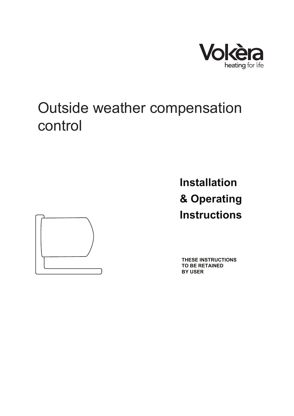

# Outside weather compensation control



**Installation & Operating Instructions**

**THESE INSTRUCTIONS TO BE RETAINED BY USER**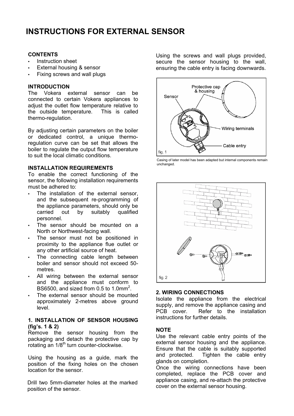## **INSTRUCTIONS FOR EXTERNAL SENSOR**

#### **CONTENTS**

- Instruction sheet
- External housing & sensor
- Fixing screws and wall plugs

#### **INTRODUCTION**

The Vokera external sensor can be connected to certain Vokera appliances to adjust the outlet flow temperature relative to the outside temperature. This is called thermo-regulation.

By adjusting certain parameters on the boiler or dedicated control, a unique thermoregulation curve can be set that allows the boiler to regulate the output flow temperature to suit the local climatic conditions.

#### **INSTALLATION REQUIREMENTS**

To enable the correct functioning of the sensor, the following installation requirements must be adhered to:

- The installation of the external sensor, and the subsequent re-programming of the appliance parameters, should only be carried out by suitably qualified personnel.
- The sensor should be mounted on a North or Northwest-facing wall.
- The sensor must not be positioned in proximity to the appliance flue outlet or any other artificial source of heat.
- The connecting cable length between boiler and sensor should not exceed 50 metres.
- All wiring between the external sensor and the appliance must conform to BS6500, and sized from 0.5 to 1.0mm<sup>2</sup>.
- The external sensor should be mounted approximately 2-metres above ground level.

#### **1. INSTALLATION OF SENSOR HOUSING (fig's. 1 & 2)**

Remove the sensor housing from the packaging and detach the protective cap by rotating an 1/8<sup>th</sup> turn counter-clockwise.

Using the housing as a guide, mark the position of the fixing holes on the chosen location for the sensor.

Drill two 5mm-diameter holes at the marked position of the sensor.

Using the screws and wall plugs provided, secure the sensor housing to the wall, ensuring the cable entry is facing downwards.



Casing of later model has been adapted but internal components remain unchanged.



### **2. WIRING CONNECTIONS**

Isolate the appliance from the electrical supply, and remove the appliance casing and PCB cover. Refer to the installation instructions for further details.

### **NOTE**

Use the relevant cable entry points of the external sensor housing and the appliance. Ensure that the cable is suitably supported and protected. Tighten the cable entry glands on completion.

Once the wiring connections have been completed, replace the PCB cover and appliance casing, and re-attach the protective cover on the external sensor housing.